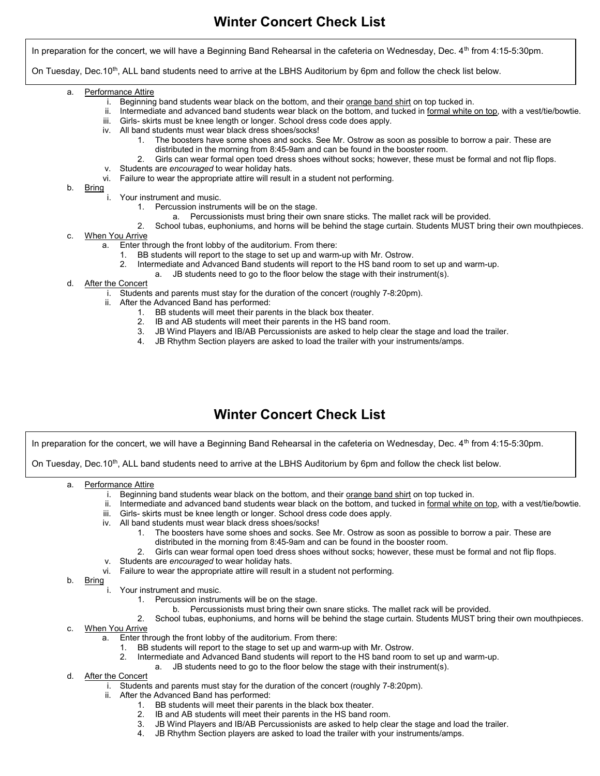In preparation for the concert, we will have a Beginning Band Rehearsal in the cafeteria on Wednesday, Dec.  $4<sup>th</sup>$  from  $4:15-5:30$ pm.

On Tuesday, Dec.10<sup>th</sup>, ALL band students need to arrive at the LBHS Auditorium by 6pm and follow the check list below.

- a. Performance Attire
	- i. Beginning band students wear black on the bottom, and their orange band shirt on top tucked in.
	- ii. Intermediate and advanced band students wear black on the bottom, and tucked in formal white on top, with a vest/tie/bowtie.
	- iii. Girls- skirts must be knee length or longer. School dress code does apply.
	- iv. All band students must wear black dress shoes/socks!
		- 1. The boosters have some shoes and socks. See Mr. Ostrow as soon as possible to borrow a pair. These are distributed in the morning from 8:45-9am and can be found in the booster room.
		- 2. Girls can wear formal open toed dress shoes without socks; however, these must be formal and not flip flops.
	- v. Students are encouraged to wear holiday hats.
	- vi. Failure to wear the appropriate attire will result in a student not performing.
- b. Bring
	- i. Your instrument and music.
		- 1. Percussion instruments will be on the stage.
			- a. Percussionists must bring their own snare sticks. The mallet rack will be provided.
		- 2. School tubas, euphoniums, and horns will be behind the stage curtain. Students MUST bring their own mouthpieces.
- c. When You Arrive
	- a. Enter through the front lobby of the auditorium. From there:
		- 1. BB students will report to the stage to set up and warm-up with Mr. Ostrow.
		- 2. Intermediate and Advanced Band students will report to the HS band room to set up and warm-up.
		- JB students need to go to the floor below the stage with their instrument(s).
- d. After the Concert
	- i. Students and parents must stay for the duration of the concert (roughly 7-8:20pm).
	- ii. After the Advanced Band has performed:
		- 1. BB students will meet their parents in the black box theater.
		- 2. IB and AB students will meet their parents in the HS band room.
		- 3. JB Wind Players and IB/AB Percussionists are asked to help clear the stage and load the trailer.
		- 4. JB Rhythm Section players are asked to load the trailer with your instruments/amps.

## Winter Concert Check List

In preparation for the concert, we will have a Beginning Band Rehearsal in the cafeteria on Wednesday, Dec.  $4<sup>th</sup>$  from  $4:15-5:30$ pm.

On Tuesday, Dec.10<sup>th</sup>, ALL band students need to arrive at the LBHS Auditorium by 6pm and follow the check list below.

- a. Performance Attire
	- i. Beginning band students wear black on the bottom, and their orange band shirt on top tucked in.
	- ii. Intermediate and advanced band students wear black on the bottom, and tucked in formal white on top, with a vest/tie/bowtie.
	- iii. Girls- skirts must be knee length or longer. School dress code does apply.
	- iv. All band students must wear black dress shoes/socks!
		- 1. The boosters have some shoes and socks. See Mr. Ostrow as soon as possible to borrow a pair. These are distributed in the morning from 8:45-9am and can be found in the booster room.
		- 2. Girls can wear formal open toed dress shoes without socks; however, these must be formal and not flip flops.
	- v. Students are encouraged to wear holiday hats.
	- vi. Failure to wear the appropriate attire will result in a student not performing.
- b. Bring
	- i. Your instrument and music.
		- 1. Percussion instruments will be on the stage.
			- b. Percussionists must bring their own snare sticks. The mallet rack will be provided.
		- 2. School tubas, euphoniums, and horns will be behind the stage curtain. Students MUST bring their own mouthpieces.
- c. When You Arrive
	- a. Enter through the front lobby of the auditorium. From there:
		- 1. BB students will report to the stage to set up and warm-up with Mr. Ostrow.
		- 2. Intermediate and Advanced Band students will report to the HS band room to set up and warm-up.
			- a. JB students need to go to the floor below the stage with their instrument(s).
- d. After the Concert
	- i. Students and parents must stay for the duration of the concert (roughly 7-8:20pm).
	- ii. After the Advanced Band has performed:
		- 1. BB students will meet their parents in the black box theater.
		- 2. IB and AB students will meet their parents in the HS band room.
		- 3. JB Wind Players and IB/AB Percussionists are asked to help clear the stage and load the trailer.
		- 4. JB Rhythm Section players are asked to load the trailer with your instruments/amps.